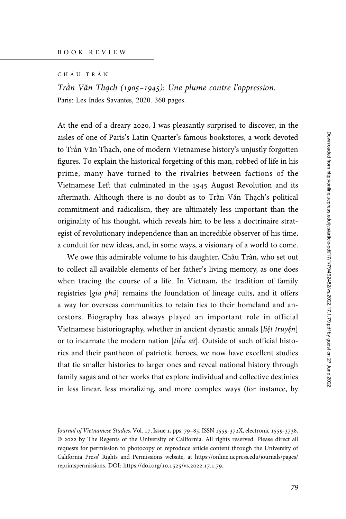CHÂU TRÂN

Trân Văn Thạch (1905–1945): Une plume contre l'oppression. Paris: Les Indes Savantes, 2020. 360 pages.

At the end of a dreary 2020, I was pleasantly surprised to discover, in the aisles of one of Paris's Latin Quarter's famous bookstores, a work devoted to Trần Văn Thạch, one of modern Vietnamese history's unjustly forgotten figures. To explain the historical forgetting of this man, robbed of life in his prime, many have turned to the rivalries between factions of the Vietnamese Left that culminated in the 1945 August Revolution and its aftermath. Although there is no doubt as to Trần Văn Thạch's political commitment and radicalism, they are ultimately less important than the originality of his thought, which reveals him to be less a doctrinaire strategist of revolutionary independence than an incredible observer of his time, a conduit for new ideas, and, in some ways, a visionary of a world to come.

We owe this admirable volume to his daughter, Châu Trân, who set out to collect all available elements of her father's living memory, as one does when tracing the course of a life. In Vietnam, the tradition of family registries [gia phả] remains the foundation of lineage cults, and it offers a way for overseas communities to retain ties to their homeland and ancestors. Biography has always played an important role in official Vietnamese historiography, whether in ancient dynastic annals [liệt truyện] or to incarnate the modern nation [ $ti\acute{e}u$  sử]. Outside of such official histories and their pantheon of patriotic heroes, we now have excellent studies that tie smaller histories to larger ones and reveal national history through family sagas and other works that explore individual and collective destinies in less linear, less moralizing, and more complex ways (for instance, by

Journal of Vietnamese Studies, Vol. 17, Issue 1, pps. 79-85. ISSN 1559-372X, electronic 1559-3738. © by The Regents of the University of California. All rights reserved. Please direct all requests for permission to photocopy or reproduce article content through the University of California Press' Rights and Permissions website, at [https://online.ucpress.edu/journals/pages/](https://online.ucpress.edu/journals/pages/reprintspermissions) [reprintspermissions.](https://online.ucpress.edu/journals/pages/reprintspermissions) [DOI: https://doi.org/](https://doi.org/10.1525/vs.2022.17.1.79)10.1525/vs.2022.17.1.79.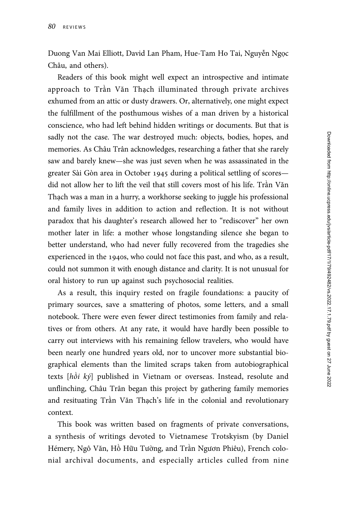Duong Van Mai Elliott, David Lan Pham, Hue-Tam Ho Tai, Nguyễn Ngọc Châu, and others).

Readers of this book might well expect an introspective and intimate approach to Trần Văn Thạch illuminated through private archives exhumed from an attic or dusty drawers. Or, alternatively, one might expect the fulfillment of the posthumous wishes of a man driven by a historical conscience, who had left behind hidden writings or documents. But that is sadly not the case. The war destroyed much: objects, bodies, hopes, and memories. As Châu Trân acknowledges, researching a father that she rarely saw and barely knew—she was just seven when he was assassinated in the greater Sài Gòn area in October 1945 during a political settling of scores did not allow her to lift the veil that still covers most of his life. Trần Văn Thạch was a man in a hurry, a workhorse seeking to juggle his professional and family lives in addition to action and reflection. It is not without paradox that his daughter's research allowed her to "rediscover" her own mother later in life: a mother whose longstanding silence she began to better understand, who had never fully recovered from the tragedies she experienced in the 1940s, who could not face this past, and who, as a result, could not summon it with enough distance and clarity. It is not unusual for oral history to run up against such psychosocial realities.

As a result, this inquiry rested on fragile foundations: a paucity of primary sources, save a smattering of photos, some letters, and a small notebook. There were even fewer direct testimonies from family and relatives or from others. At any rate, it would have hardly been possible to carry out interviews with his remaining fellow travelers, who would have been nearly one hundred years old, nor to uncover more substantial biographical elements than the limited scraps taken from autobiographical texts [hồi ký] published in Vietnam or overseas. Instead, resolute and unflinching, Châu Trân began this project by gathering family memories and resituating Trần Văn Thạch's life in the colonial and revolutionary context.

This book was written based on fragments of private conversations, a synthesis of writings devoted to Vietnamese Trotskyism (by Daniel Hémery, Ngô Văn, Hồ Hữu Tường, and Trần Ngươn Phiêu), French colonial archival documents, and especially articles culled from nine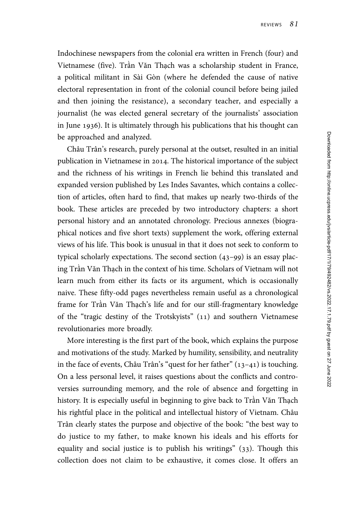Indochinese newspapers from the colonial era written in French (four) and Vietnamese (five). Trần Văn Thạch was a scholarship student in France, a political militant in Sài Gòn (where he defended the cause of native electoral representation in front of the colonial council before being jailed and then joining the resistance), a secondary teacher, and especially a journalist (he was elected general secretary of the journalists' association in June 1936). It is ultimately through his publications that his thought can be approached and analyzed.

Châu Trân's research, purely personal at the outset, resulted in an initial publication in Vietnamese in 2014. The historical importance of the subject and the richness of his writings in French lie behind this translated and expanded version published by Les Indes Savantes, which contains a collection of articles, often hard to find, that makes up nearly two-thirds of the book. These articles are preceded by two introductory chapters: a short personal history and an annotated chronology. Precious annexes (biographical notices and five short texts) supplement the work, offering external views of his life. This book is unusual in that it does not seek to conform to typical scholarly expectations. The second section  $(43-99)$  is an essay placing Trần Văn Thạch in the context of his time. Scholars of Vietnam will not learn much from either its facts or its argument, which is occasionally naive. These fifty-odd pages nevertheless remain useful as a chronological frame for Trần Văn Thạch's life and for our still-fragmentary knowledge of the "tragic destiny of the Trotskyists" (11) and southern Vietnamese revolutionaries more broadly.

More interesting is the first part of the book, which explains the purpose and motivations of the study. Marked by humility, sensibility, and neutrality in the face of events, Châu Trân's "quest for her father"  $(13-41)$  is touching. On a less personal level, it raises questions about the conflicts and controversies surrounding memory, and the role of absence and forgetting in history. It is especially useful in beginning to give back to Trần Văn Thạch his rightful place in the political and intellectual history of Vietnam. Châu Trân clearly states the purpose and objective of the book: "the best way to do justice to my father, to make known his ideals and his efforts for equality and social justice is to publish his writings" (33). Though this collection does not claim to be exhaustive, it comes close. It offers an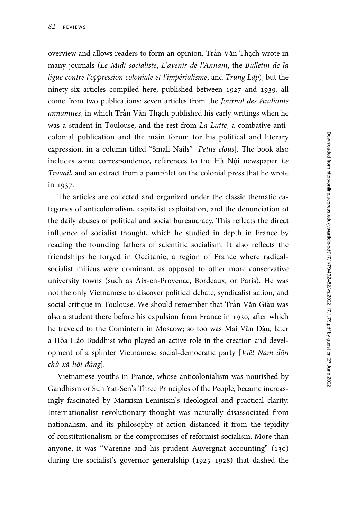overview and allows readers to form an opinion. Trần Văn Thạch wrote in many journals (Le Midi socialiste, L'avenir de l'Annam, the Bulletin de la ligue contre l'oppression coloniale et l'impérialisme, and Trung Lập), but the ninety-six articles compiled here, published between 1927 and 1939, all come from two publications: seven articles from the Journal des étudiants annamites, in which Trần Văn Thạch published his early writings when he was a student in Toulouse, and the rest from La Lutte, a combative anticolonial publication and the main forum for his political and literary expression, in a column titled "Small Nails" [Petits clous]. The book also includes some correspondence, references to the Hà Nội newspaper Le Travail, and an extract from a pamphlet on the colonial press that he wrote in 1937.

The articles are collected and organized under the classic thematic categories of anticolonialism, capitalist exploitation, and the denunciation of the daily abuses of political and social bureaucracy. This reflects the direct influence of socialist thought, which he studied in depth in France by reading the founding fathers of scientific socialism. It also reflects the friendships he forged in Occitanie, a region of France where radicalsocialist milieus were dominant, as opposed to other more conservative university towns (such as Aix-en-Provence, Bordeaux, or Paris). He was not the only Vietnamese to discover political debate, syndicalist action, and social critique in Toulouse. We should remember that Trần Văn Giàu was also a student there before his expulsion from France in 1930, after which he traveled to the Comintern in Moscow; so too was Mai Văn Dậu, later a Hòa Hảo Buddhist who played an active role in the creation and development of a splinter Vietnamese social-democratic party [Việt Nam dân chủ xã hội đảng].

Vietnamese youths in France, whose anticolonialism was nourished by Gandhism or Sun Yat-Sen's Three Principles of the People, became increasingly fascinated by Marxism-Leninism's ideological and practical clarity. Internationalist revolutionary thought was naturally disassociated from nationalism, and its philosophy of action distanced it from the tepidity of constitutionalism or the compromises of reformist socialism. More than anyone, it was "Varenne and his prudent Auvergnat accounting" (130) during the socialist's governor generalship  $(1925-1928)$  that dashed the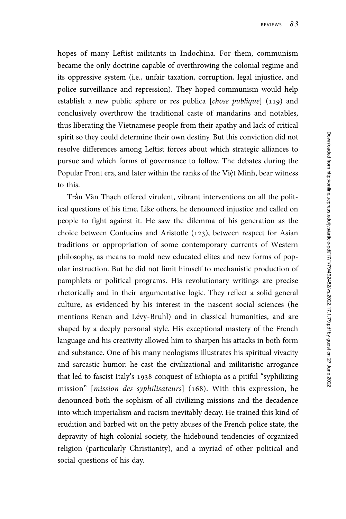hopes of many Leftist militants in Indochina. For them, communism became the only doctrine capable of overthrowing the colonial regime and its oppressive system (i.e., unfair taxation, corruption, legal injustice, and police surveillance and repression). They hoped communism would help establish a new public sphere or res publica  $[chose public]$  (119) and conclusively overthrow the traditional caste of mandarins and notables, thus liberating the Vietnamese people from their apathy and lack of critical spirit so they could determine their own destiny. But this conviction did not resolve differences among Leftist forces about which strategic alliances to pursue and which forms of governance to follow. The debates during the Popular Front era, and later within the ranks of the Việt Minh, bear witness to this.

Trần Văn Thạch offered virulent, vibrant interventions on all the political questions of his time. Like others, he denounced injustice and called on people to fight against it. He saw the dilemma of his generation as the choice between Confucius and Aristotle  $(123)$ , between respect for Asian traditions or appropriation of some contemporary currents of Western philosophy, as means to mold new educated elites and new forms of popular instruction. But he did not limit himself to mechanistic production of pamphlets or political programs. His revolutionary writings are precise rhetorically and in their argumentative logic. They reflect a solid general culture, as evidenced by his interest in the nascent social sciences (he mentions Renan and Lévy-Bruhl) and in classical humanities, and are shaped by a deeply personal style. His exceptional mastery of the French language and his creativity allowed him to sharpen his attacks in both form and substance. One of his many neologisms illustrates his spiritual vivacity and sarcastic humor: he cast the civilizational and militaristic arrogance that led to fascist Italy's 1938 conquest of Ethiopia as a pitiful "syphilizing" mission" [*mission des syphilisateurs*] (168). With this expression, he denounced both the sophism of all civilizing missions and the decadence into which imperialism and racism inevitably decay. He trained this kind of erudition and barbed wit on the petty abuses of the French police state, the depravity of high colonial society, the hidebound tendencies of organized religion (particularly Christianity), and a myriad of other political and social questions of his day.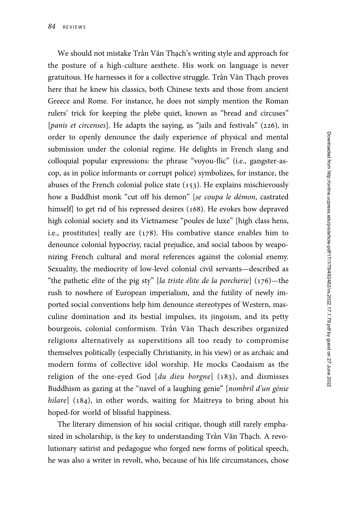We should not mistake Trần Văn Thạch's writing style and approach for the posture of a high-culture aesthete. His work on language is never gratuitous. He harnesses it for a collective struggle. Trần Văn Thạch proves here that he knew his classics, both Chinese texts and those from ancient Greece and Rome. For instance, he does not simply mention the Roman rulers' trick for keeping the plebe quiet, known as "bread and circuses" [*panis et circenses*]. He adapts the saying, as "*jails* and festivals" ( $226$ ), in order to openly denounce the daily experience of physical and mental submission under the colonial regime. He delights in French slang and colloquial popular expressions: the phrase "voyou-flic" (i.e., gangster-ascop, as in police informants or corrupt police) symbolizes, for instance, the abuses of the French colonial police state  $(153)$ . He explains mischievously how a Buddhist monk "cut off his demon" [se coupa le démon, castrated himself] to get rid of his repressed desires (168). He evokes how depraved high colonial society and its Vietnamese "poules de luxe" [high class hens, i.e., prostitutes] really are  $(178)$ . His combative stance enables him to denounce colonial hypocrisy, racial prejudice, and social taboos by weaponizing French cultural and moral references against the colonial enemy. Sexuality, the mediocrity of low-level colonial civil servants—described as "the pathetic elite of the pig sty" [la triste élite de la porcherie]  $(176)$ —the rush to nowhere of European imperialism, and the futility of newly imported social conventions help him denounce stereotypes of Western, masculine domination and its bestial impulses, its jingoism, and its petty bourgeois, colonial conformism. Trần Văn Thạch describes organized religions alternatively as superstitions all too ready to compromise themselves politically (especially Christianity, in his view) or as archaic and modern forms of collective idol worship. He mocks Caodaism as the religion of the one-eyed God  $[du$  dieu borgne $]$  (183), and dismisses Buddhism as gazing at the "navel of a laughing genie" [nombril d'un génie hilare]  $(184)$ , in other words, waiting for Maitreya to bring about his hoped-for world of blissful happiness.

The literary dimension of his social critique, though still rarely emphasized in scholarship, is the key to understanding Trần Văn Thạch. A revolutionary satirist and pedagogue who forged new forms of political speech, he was also a writer in revolt, who, because of his life circumstances, chose